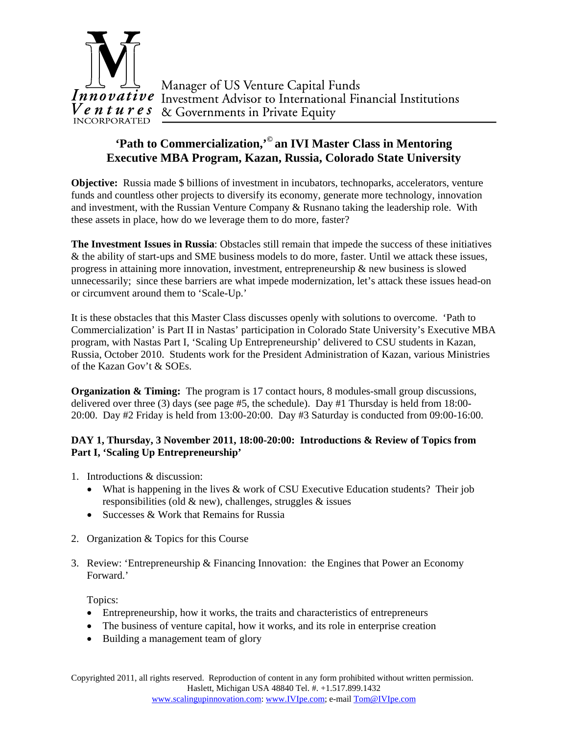

## **'Path to Commercialization,'© an IVI Master Class in Mentoring Executive MBA Program, Kazan, Russia, Colorado State University**

**Objective:** Russia made \$ billions of investment in incubators, technoparks, accelerators, venture funds and countless other projects to diversify its economy, generate more technology, innovation and investment, with the Russian Venture Company & Rusnano taking the leadership role. With these assets in place, how do we leverage them to do more, faster?

**The Investment Issues in Russia**: Obstacles still remain that impede the success of these initiatives & the ability of start-ups and SME business models to do more, faster. Until we attack these issues, progress in attaining more innovation, investment, entrepreneurship & new business is slowed unnecessarily; since these barriers are what impede modernization, let's attack these issues head-on or circumvent around them to 'Scale-Up.'

It is these obstacles that this Master Class discusses openly with solutions to overcome. 'Path to Commercialization' is Part II in Nastas' participation in Colorado State University's Executive MBA program, with Nastas Part I, 'Scaling Up Entrepreneurship' delivered to CSU students in Kazan, Russia, October 2010. Students work for the President Administration of Kazan, various Ministries of the Kazan Gov't & SOEs.

**Organization & Timing:** The program is 17 contact hours, 8 modules-small group discussions, delivered over three (3) days (see page #5, the schedule). Day #1 Thursday is held from 18:00- 20:00. Day #2 Friday is held from 13:00-20:00. Day #3 Saturday is conducted from 09:00-16:00.

## **DAY 1, Thursday, 3 November 2011, 18:00-20:00: Introductions & Review of Topics from Part I, 'Scaling Up Entrepreneurship'**

- 1. Introductions & discussion:
	- What is happening in the lives & work of CSU Executive Education students? Their job responsibilities (old  $&$  new), challenges, struggles  $&$  issues
	- Successes & Work that Remains for Russia
- 2. Organization & Topics for this Course
- 3. Review: 'Entrepreneurship & Financing Innovation: the Engines that Power an Economy Forward.'

Topics:

- Entrepreneurship, how it works, the traits and characteristics of entrepreneurs
- The business of venture capital, how it works, and its role in enterprise creation
- Building a management team of glory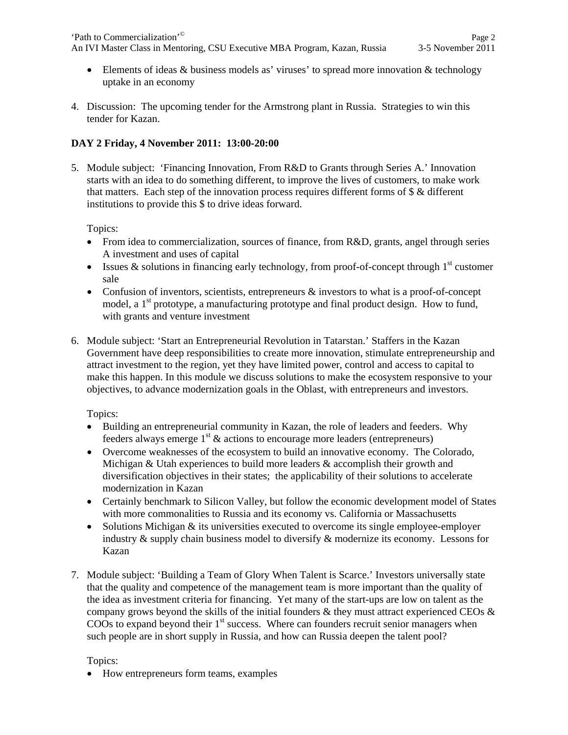- Elements of ideas  $&$  business models as' viruses' to spread more innovation  $&$  technology uptake in an economy
- 4. Discussion: The upcoming tender for the Armstrong plant in Russia. Strategies to win this tender for Kazan.

## **DAY 2 Friday, 4 November 2011: 13:00-20:00**

5. Module subject: 'Financing Innovation, From R&D to Grants through Series A.' Innovation starts with an idea to do something different, to improve the lives of customers, to make work that matters. Each step of the innovation process requires different forms of \$ & different institutions to provide this \$ to drive ideas forward.

Topics:

- From idea to commercialization, sources of finance, from R&D, grants, angel through series A investment and uses of capital
- Issues & solutions in financing early technology, from proof-of-concept through  $1<sup>st</sup>$  customer sale
- Confusion of inventors, scientists, entrepreneurs  $\&$  investors to what is a proof-of-concept model, a 1<sup>st</sup> prototype, a manufacturing prototype and final product design. How to fund, with grants and venture investment
- 6. Module subject: 'Start an Entrepreneurial Revolution in Tatarstan.' Staffers in the Kazan Government have deep responsibilities to create more innovation, stimulate entrepreneurship and attract investment to the region, yet they have limited power, control and access to capital to make this happen. In this module we discuss solutions to make the ecosystem responsive to your objectives, to advance modernization goals in the Oblast, with entrepreneurs and investors.

Topics:

- Building an entrepreneurial community in Kazan, the role of leaders and feeders. Why feeders always emerge  $1<sup>st</sup>$  & actions to encourage more leaders (entrepreneurs)
- Overcome weaknesses of the ecosystem to build an innovative economy. The Colorado, Michigan & Utah experiences to build more leaders & accomplish their growth and diversification objectives in their states; the applicability of their solutions to accelerate modernization in Kazan
- Certainly benchmark to Silicon Valley, but follow the economic development model of States with more commonalities to Russia and its economy vs. California or Massachusetts
- $\bullet$  Solutions Michigan  $\&$  its universities executed to overcome its single employee-employer industry & supply chain business model to diversify & modernize its economy. Lessons for Kazan
- 7. Module subject: 'Building a Team of Glory When Talent is Scarce.' Investors universally state that the quality and competence of the management team is more important than the quality of the idea as investment criteria for financing. Yet many of the start-ups are low on talent as the company grows beyond the skills of the initial founders  $\&$  they must attract experienced CEOs  $\&$  $COOs$  to expand beyond their  $1<sup>st</sup>$  success. Where can founders recruit senior managers when such people are in short supply in Russia, and how can Russia deepen the talent pool?

Topics:

• How entrepreneurs form teams, examples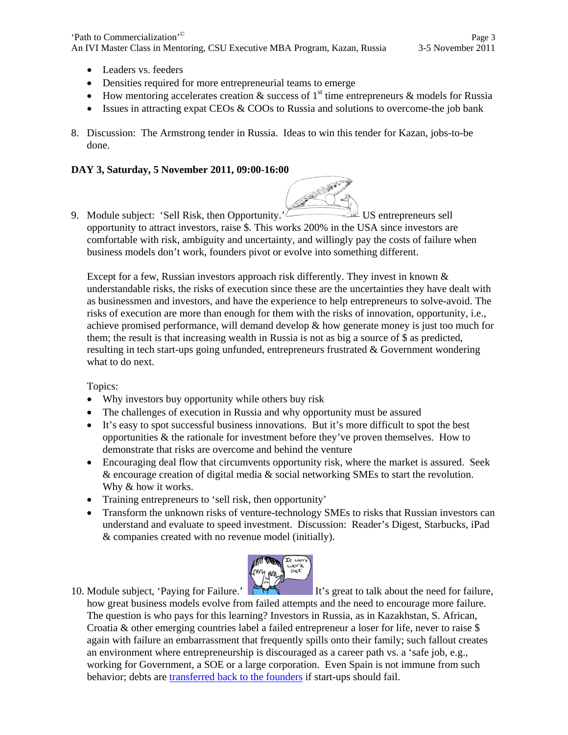- Leaders vs. feeders
- Densities required for more entrepreneurial teams to emerge
- How mentoring accelerates creation  $\&$  success of 1<sup>st</sup> time entrepreneurs  $\&$  models for Russia
- Issues in attracting expat CEOs & COOs to Russia and solutions to overcome-the job bank
- 8. Discussion: The Armstrong tender in Russia. Ideas to win this tender for Kazan, jobs-to-be done.

## **DAY 3, Saturday, 5 November 2011, 09:00-16:00**

9. Module subject: 'Sell Risk, then Opportunity.' US entrepreneurs sell opportunity to attract investors, raise \$. This works 200% in the USA since investors are comfortable with risk, ambiguity and uncertainty, and willingly pay the costs of failure when business models don't work, founders pivot or evolve into something different.

Except for a few, Russian investors approach risk differently. They invest in known & understandable risks, the risks of execution since these are the uncertainties they have dealt with as businessmen and investors, and have the experience to help entrepreneurs to solve-avoid. The risks of execution are more than enough for them with the risks of innovation, opportunity, i.e., achieve promised performance, will demand develop & how generate money is just too much for them; the result is that increasing wealth in Russia is not as big a source of \$ as predicted, resulting in tech start-ups going unfunded, entrepreneurs frustrated & Government wondering what to do next.

Topics:

- Why investors buy opportunity while others buy risk
- The challenges of execution in Russia and why opportunity must be assured
- It's easy to spot successful business innovations. But it's more difficult to spot the best opportunities & the rationale for investment before they've proven themselves. How to demonstrate that risks are overcome and behind the venture
- Encouraging deal flow that circumvents opportunity risk, where the market is assured. Seek & encourage creation of digital media & social networking SMEs to start the revolution. Why & how it works.
- Training entrepreneurs to 'sell risk, then opportunity'
- Transform the unknown risks of venture-technology SMEs to risks that Russian investors can understand and evaluate to speed investment. Discussion: Reader's Digest, Starbucks, iPad & companies created with no revenue model (initially).



10. Module subject, 'Paying for Failure.' **It's great to talk about the need for failure**,

how great business models evolve from failed attempts and the need to encourage more failure. The question is who pays for this learning? Investors in Russia, as in Kazakhstan, S. African, Croatia & other emerging countries label a failed entrepreneur a loser for life, never to raise \$ again with failure an embarrassment that frequently spills onto their family; such fallout creates an environment where entrepreneurship is discouraged as a career path vs. a 'safe job, e.g., working for Government, a SOE or a large corporation. Even Spain is not immune from such behavior; debts are transferred back to the founders if start-ups should fail.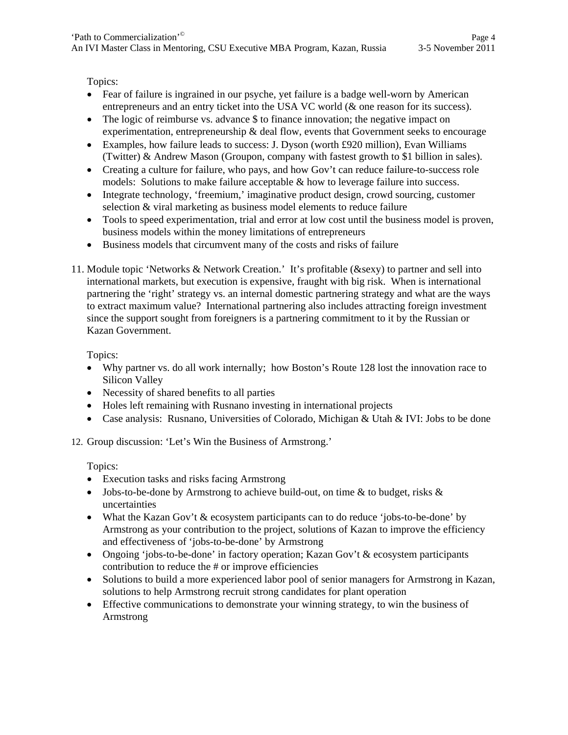Topics:

- Fear of failure is ingrained in our psyche, yet failure is a badge well-worn by American entrepreneurs and an entry ticket into the USA VC world (& one reason for its success).
- The logic of reimburse vs. advance \$ to finance innovation; the negative impact on experimentation, entrepreneurship  $\&$  deal flow, events that Government seeks to encourage
- Examples, how failure leads to success: J. Dyson (worth £920 million), Evan Williams (Twitter) & Andrew Mason (Groupon, company with fastest growth to \$1 billion in sales).
- Creating a culture for failure, who pays, and how Gov't can reduce failure-to-success role models: Solutions to make failure acceptable & how to leverage failure into success.
- Integrate technology, 'freemium,' imaginative product design, crowd sourcing, customer selection & viral marketing as business model elements to reduce failure
- Tools to speed experimentation, trial and error at low cost until the business model is proven, business models within the money limitations of entrepreneurs
- Business models that circumvent many of the costs and risks of failure
- 11. Module topic 'Networks & Network Creation.' It's profitable (&sexy) to partner and sell into international markets, but execution is expensive, fraught with big risk. When is international partnering the 'right' strategy vs. an internal domestic partnering strategy and what are the ways to extract maximum value? International partnering also includes attracting foreign investment since the support sought from foreigners is a partnering commitment to it by the Russian or Kazan Government.

Topics:

- Why partner vs. do all work internally; how Boston's Route 128 lost the innovation race to Silicon Valley
- Necessity of shared benefits to all parties
- Holes left remaining with Rusnano investing in international projects
- Case analysis: Rusnano, Universities of Colorado, Michigan & Utah & IVI: Jobs to be done

12. Group discussion: 'Let's Win the Business of Armstrong.'

Topics:

- Execution tasks and risks facing Armstrong
- Jobs-to-be-done by Armstrong to achieve build-out, on time  $\&$  to budget, risks  $\&$ uncertainties
- What the Kazan Gov't & ecosystem participants can to do reduce 'jobs-to-be-done' by Armstrong as your contribution to the project, solutions of Kazan to improve the efficiency and effectiveness of 'jobs-to-be-done' by Armstrong
- Ongoing 'jobs-to-be-done' in factory operation; Kazan Gov't & ecosystem participants contribution to reduce the # or improve efficiencies
- Solutions to build a more experienced labor pool of senior managers for Armstrong in Kazan, solutions to help Armstrong recruit strong candidates for plant operation
- Effective communications to demonstrate your winning strategy, to win the business of Armstrong